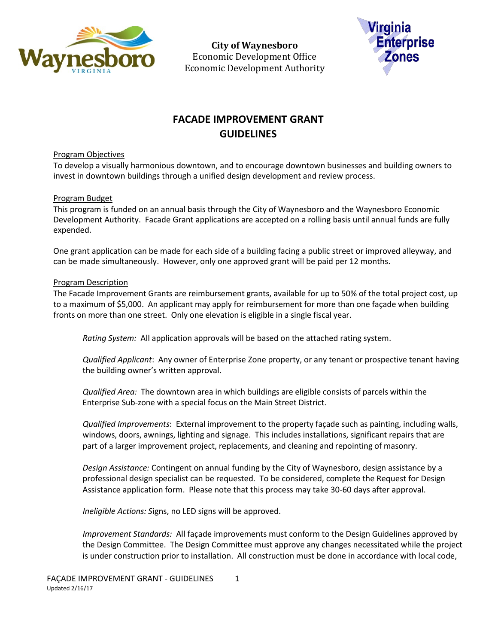

**City of Waynesboro**  Economic Development Office Economic Development Authority



# **FACADE IMPROVEMENT GRANT GUIDELINES**

### Program Objectives

To develop a visually harmonious downtown, and to encourage downtown businesses and building owners to invest in downtown buildings through a unified design development and review process.

# Program Budget

This program is funded on an annual basis through the City of Waynesboro and the Waynesboro Economic Development Authority. Facade Grant applications are accepted on a rolling basis until annual funds are fully expended.

One grant application can be made for each side of a building facing a public street or improved alleyway, and can be made simultaneously. However, only one approved grant will be paid per 12 months.

### Program Description

The Facade Improvement Grants are reimbursement grants, available for up to 50% of the total project cost, up to a maximum of \$5,000. An applicant may apply for reimbursement for more than one façade when building fronts on more than one street. Only one elevation is eligible in a single fiscal year.

*Rating System:* All application approvals will be based on the attached rating system.

*Qualified Applicant*: Any owner of Enterprise Zone property, or any tenant or prospective tenant having the building owner's written approval.

*Qualified Area:* The downtown area in which buildings are eligible consists of parcels within the Enterprise Sub-zone with a special focus on the Main Street District.

*Qualified Improvements*: External improvement to the property façade such as painting, including walls, windows, doors, awnings, lighting and signage. This includes installations, significant repairs that are part of a larger improvement project, replacements, and cleaning and repointing of masonry.

*Design Assistance:* Contingent on annual funding by the City of Waynesboro, design assistance by a professional design specialist can be requested. To be considered, complete the Request for Design Assistance application form. Please note that this process may take 30-60 days after approval.

*Ineligible Actions: S*igns, no LED signs will be approved.

*Improvement Standards:* All façade improvements must conform to the Design Guidelines approved by the Design Committee. The Design Committee must approve any changes necessitated while the project is under construction prior to installation. All construction must be done in accordance with local code,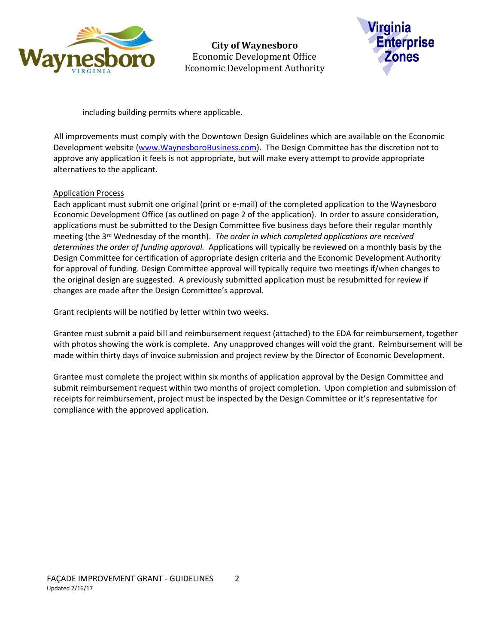

**City of Waynesboro**  Economic Development Office Economic Development Authority



including building permits where applicable.

All improvements must comply with the Downtown Design Guidelines which are available on the Economic Development website [\(www.WaynesboroBusiness.com\)](http://www.waynesborobusiness.com/). The Design Committee has the discretion not to approve any application it feels is not appropriate, but will make every attempt to provide appropriate alternatives to the applicant.

# Application Process

Each applicant must submit one original (print or e-mail) of the completed application to the Waynesboro Economic Development Office (as outlined on page 2 of the application). In order to assure consideration, applications must be submitted to the Design Committee five business days before their regular monthly meeting (the 3rd Wednesday of the month). *The order in which completed applications are received determines the order of funding approval.* Applications will typically be reviewed on a monthly basis by the Design Committee for certification of appropriate design criteria and the Economic Development Authority for approval of funding. Design Committee approval will typically require two meetings if/when changes to the original design are suggested. A previously submitted application must be resubmitted for review if changes are made after the Design Committee's approval.

Grant recipients will be notified by letter within two weeks.

Grantee must submit a paid bill and reimbursement request (attached) to the EDA for reimbursement, together with photos showing the work is complete. Any unapproved changes will void the grant. Reimbursement will be made within thirty days of invoice submission and project review by the Director of Economic Development.

Grantee must complete the project within six months of application approval by the Design Committee and submit reimbursement request within two months of project completion. Upon completion and submission of receipts for reimbursement, project must be inspected by the Design Committee or it's representative for compliance with the approved application.